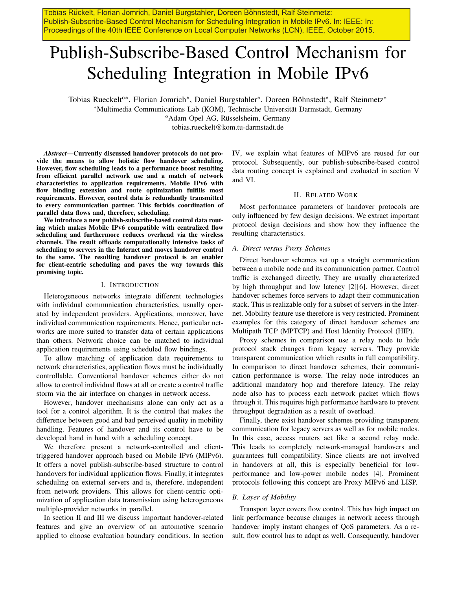Tobias Rückelt, Florian Jomrich, Daniel Burgstahler, Doreen Böhnstedt, Ralf Steinmetz: Publish-Subscribe-Based Control Mechanism for Scheduling Integration in Mobile IPv6. In: IEEE: In: Proceedings of the 40th IEEE Conference on Local Computer Networks (LCN), IEEE, October 2015.

# Publish-Subscribe-Based Control Mechanism for Scheduling Integration in Mobile IPv6

Tobias Rueckelt<sup>o∗</sup>, Florian Jomrich<sup>\*</sup>, Daniel Burgstahler<sup>\*</sup>, Doreen Böhnstedt<sup>\*</sup>, Ralf Steinmetz<sup>\*</sup> <sup>∗</sup>Multimedia Communications Lab (KOM), Technische Universitat Darmstadt, Germany ¨

<sup>o</sup>Adam Opel AG, Rüsselsheim, Germany

tobias.rueckelt@kom.tu-darmstadt.de

*Abstract*—Currently discussed handover protocols do not provide the means to allow holistic flow handover scheduling. However, flow scheduling leads to a performance boost resulting from efficient parallel network use and a match of network characteristics to application requirements. Mobile IPv6 with flow binding extension and route optimization fulfills most requirements. However, control data is redundantly transmitted to every communication partner. This forbids coordination of parallel data flows and, therefore, scheduling.

We introduce a new publish-subscribe-based control data routing which makes Mobile IPv6 compatible with centralized flow scheduling and furthermore reduces overhead via the wireless channels. The result offloads computationally intensive tasks of scheduling to servers in the Internet and moves handover control to the same. The resulting handover protocol is an enabler for client-centric scheduling and paves the way towards this promising topic.

#### I. INTRODUCTION

Heterogeneous networks integrate different technologies with individual communication characteristics, usually operated by independent providers. Applications, moreover, have individual communication requirements. Hence, particular networks are more suited to transfer data of certain applications than others. Network choice can be matched to individual application requirements using scheduled flow bindings.

To allow matching of application data requirements to network characteristics, application flows must be individually controllable. Conventional handover schemes either do not allow to control individual flows at all or create a control traffic storm via the air interface on changes in network access.

However, handover mechanisms alone can only act as a tool for a control algorithm. It is the control that makes the difference between good and bad perceived quality in mobility handling. Features of handover and its control have to be developed hand in hand with a scheduling concept.

We therefore present a network-controlled and clienttriggered handover approach based on Mobile IPv6 (MIPv6). It offers a novel publish-subscribe-based structure to control handovers for individual application flows. Finally, it integrates scheduling on external servers and is, therefore, independent from network providers. This allows for client-centric optimization of application data transmission using heterogeneous multiple-provider networks in parallel.

In section II and III we discuss important handover-related features and give an overview of an automotive scenario applied to choose evaluation boundary conditions. In section IV, we explain what features of MIPv6 are reused for our protocol. Subsequently, our publish-subscribe-based control data routing concept is explained and evaluated in section V and VI.

## II. RELATED WORK

Most performance parameters of handover protocols are only influenced by few design decisions. We extract important protocol design decisions and show how they influence the resulting characteristics.

## *A. Direct versus Proxy Schemes*

Direct handover schemes set up a straight communication between a mobile node and its communication partner. Control traffic is exchanged directly. They are usually characterized by high throughput and low latency [2][6]. However, direct handover schemes force servers to adapt their communication stack. This is realizable only for a subset of servers in the Internet. Mobility feature use therefore is very restricted. Prominent examples for this category of direct handover schemes are Multipath TCP (MPTCP) and Host Identity Protocol (HIP).

Proxy schemes in comparison use a relay node to hide protocol stack changes from legacy servers. They provide transparent communication which results in full compatibility. In comparison to direct handover schemes, their communication performance is worse. The relay node introduces an additional mandatory hop and therefore latency. The relay node also has to process each network packet which flows through it. This requires high performance hardware to prevent throughput degradation as a result of overload.

Finally, there exist handover schemes providing transparent communication for legacy servers as well as for mobile nodes. In this case, access routers act like a second relay node. This leads to completely network-managed handovers and guarantees full compatibility. Since clients are not involved in handovers at all, this is especially beneficial for lowperformance and low-power mobile nodes [4]. Prominent protocols following this concept are Proxy MIPv6 and LISP.

## *B. Layer of Mobility*

Transport layer covers flow control. This has high impact on link performance because changes in network access through handover imply instant changes of QoS parameters. As a result, flow control has to adapt as well. Consequently, handover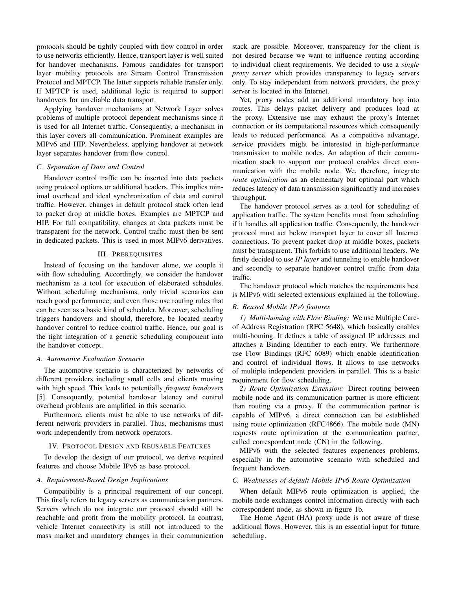protocols should be tightly coupled with flow control in order to use networks efficiently. Hence, transport layer is well suited for handover mechanisms. Famous candidates for transport layer mobility protocols are Stream Control Transmission Protocol and MPTCP. The latter supports reliable transfer only. If MPTCP is used, additional logic is required to support handovers for unreliable data transport.

Applying handover mechanisms at Network Layer solves problems of multiple protocol dependent mechanisms since it is used for all Internet traffic. Consequently, a mechanism in this layer covers all communication. Prominent examples are MIPv6 and HIP. Nevertheless, applying handover at network layer separates handover from flow control.

## *C. Separation of Data and Control*

Handover control traffic can be inserted into data packets using protocol options or additional headers. This implies minimal overhead and ideal synchronization of data and control traffic. However, changes in default protocol stack often lead to packet drop at middle boxes. Examples are MPTCP and HIP. For full compatibility, changes at data packets must be transparent for the network. Control traffic must then be sent in dedicated packets. This is used in most MIPv6 derivatives.

#### III. PREREQUISITES

Instead of focusing on the handover alone, we couple it with flow scheduling. Accordingly, we consider the handover mechanism as a tool for execution of elaborated schedules. Without scheduling mechanisms, only trivial scenarios can reach good performance; and even those use routing rules that can be seen as a basic kind of scheduler. Moreover, scheduling triggers handovers and should, therefore, be located nearby handover control to reduce control traffic. Hence, our goal is the tight integration of a generic scheduling component into the handover concept.

## *A. Automotive Evaluation Scenario*

The automotive scenario is characterized by networks of different providers including small cells and clients moving with high speed. This leads to potentially *frequent handovers* [5]. Consequently, potential handover latency and control overhead problems are amplified in this scenario.

Furthermore, clients must be able to use networks of different network providers in parallel. Thus, mechanisms must work independently from network operators.

#### IV. PROTOCOL DESIGN AND REUSABLE FEATURES

To develop the design of our protocol, we derive required features and choose Mobile IPv6 as base protocol.

#### *A. Requirement-Based Design Implications*

Compatibility is a principal requirement of our concept. This firstly refers to legacy servers as communication partners. Servers which do not integrate our protocol should still be reachable and profit from the mobility protocol. In contrast, vehicle Internet connectivity is still not introduced to the mass market and mandatory changes in their communication

stack are possible. Moreover, transparency for the client is not desired because we want to influence routing according to individual client requirements. We decided to use a *single proxy server* which provides transparency to legacy servers only. To stay independent from network providers, the proxy server is located in the Internet.

Yet, proxy nodes add an additional mandatory hop into routes. This delays packet delivery and produces load at the proxy. Extensive use may exhaust the proxy's Internet connection or its computational resources which consequently leads to reduced performance. As a competitive advantage, service providers might be interested in high-performance transmission to mobile nodes. An adaption of their communication stack to support our protocol enables direct communication with the mobile node. We, therefore, integrate *route optimization* as an elementary but optional part which reduces latency of data transmission significantly and increases throughput.

The handover protocol serves as a tool for scheduling of application traffic. The system benefits most from scheduling if it handles all application traffic. Consequently, the handover protocol must act below transport layer to cover all Internet connections. To prevent packet drop at middle boxes, packets must be transparent. This forbids to use additional headers. We firstly decided to use *IP layer* and tunneling to enable handover and secondly to separate handover control traffic from data traffic.

The handover protocol which matches the requirements best is MIPv6 with selected extensions explained in the following.

## *B. Reused Mobile IPv6 features*

*1) Multi-homing with Flow Binding:* We use Multiple Careof Address Registration (RFC 5648), which basically enables multi-homing. It defines a table of assigned IP addresses and attaches a Binding Identifier to each entry. We furthermore use Flow Bindings (RFC 6089) which enable identification and control of individual flows. It allows to use networks of multiple independent providers in parallel. This is a basic requirement for flow scheduling.

*2) Route Optimization Extension:* Direct routing between mobile node and its communication partner is more efficient than routing via a proxy. If the communication partner is capable of MIPv6, a direct connection can be established using route optimization (RFC4866). The mobile node (MN) requests route optimization at the communication partner, called correspondent node (CN) in the following.

MIPv6 with the selected features experiences problems, especially in the automotive scenario with scheduled and frequent handovers.

#### *C. Weaknesses of default Mobile IPv6 Route Optimization*

When default MIPv6 route optimization is applied, the mobile node exchanges control information directly with each correspondent node, as shown in figure 1b.

The Home Agent (HA) proxy node is not aware of these additional flows. However, this is an essential input for future scheduling.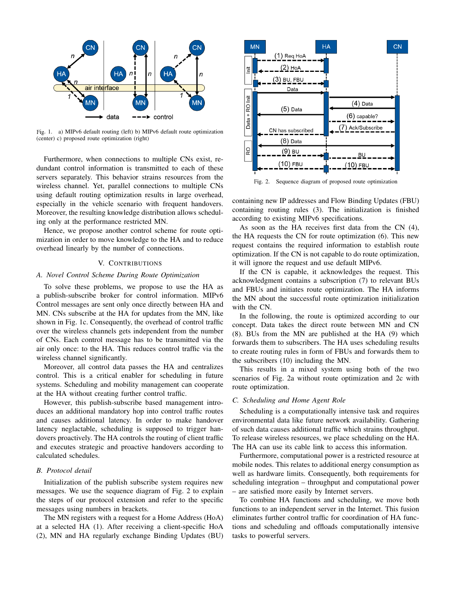

Fig. 1. a) MIPv6 default routing (left) b) MIPv6 default route optimization (center) c) proposed route optimization (right)

Furthermore, when connections to multiple CNs exist, redundant control information is transmitted to each of these servers separately. This behavior strains resources from the wireless channel. Yet, parallel connections to multiple CNs using default routing optimization results in large overhead, especially in the vehicle scenario with frequent handovers. Moreover, the resulting knowledge distribution allows scheduling only at the performance restricted MN.

Hence, we propose another control scheme for route optimization in order to move knowledge to the HA and to reduce overhead linearly by the number of connections.

## V. CONTRIBUTIONS

## *A. Novel Control Scheme During Route Optimization*

To solve these problems, we propose to use the HA as a publish-subscribe broker for control information. MIPv6 Control messages are sent only once directly between HA and MN. CNs subscribe at the HA for updates from the MN, like shown in Fig. 1c. Consequently, the overhead of control traffic over the wireless channels gets independent from the number of CNs. Each control message has to be transmitted via the air only once: to the HA. This reduces control traffic via the wireless channel significantly.

Moreover, all control data passes the HA and centralizes control. This is a critical enabler for scheduling in future systems. Scheduling and mobility management can cooperate at the HA without creating further control traffic.

However, this publish-subscribe based management introduces an additional mandatory hop into control traffic routes and causes additional latency. In order to make handover latency neglactable, scheduling is supposed to trigger handovers proactively. The HA controls the routing of client traffic and executes strategic and proactive handovers according to calculated schedules.

#### *B. Protocol detail*

Initialization of the publish subscribe system requires new messages. We use the sequence diagram of Fig. 2 to explain the steps of our protocol extension and refer to the specific messages using numbers in brackets.

The MN registers with a request for a Home Address (HoA) at a selected HA (1). After receiving a client-specific HoA (2), MN and HA regularly exchange Binding Updates (BU)



Fig. 2. Sequence diagram of proposed route optimization

containing new IP addresses and Flow Binding Updates (FBU) containing routing rules (3). The initialization is finished according to existing MIPv6 specifications.

As soon as the HA receives first data from the CN (4), the HA requests the CN for route optimization (6). This new request contains the required information to establish route optimization. If the CN is not capable to do route optimization, it will ignore the request and use default MIPv6.

If the CN is capable, it acknowledges the request. This acknowledgment contains a subscription (7) to relevant BUs and FBUs and initiates route optimization. The HA informs the MN about the successful route optimization initialization with the CN.

In the following, the route is optimized according to our concept. Data takes the direct route between MN and CN (8). BUs from the MN are published at the HA (9) which forwards them to subscribers. The HA uses scheduling results to create routing rules in form of FBUs and forwards them to the subscribers (10) including the MN.

This results in a mixed system using both of the two scenarios of Fig. 2a without route optimization and 2c with route optimization.

## *C. Scheduling and Home Agent Role*

Scheduling is a computationally intensive task and requires environmental data like future network availability. Gathering of such data causes additional traffic which strains throughput. To release wireless resources, we place scheduling on the HA. The HA can use its cable link to access this information.

Furthermore, computational power is a restricted resource at mobile nodes. This relates to additional energy consumption as well as hardware limits. Consequently, both requirements for scheduling integration – throughput and computational power – are satisfied more easily by Internet servers.

To combine HA functions and scheduling, we move both functions to an independent server in the Internet. This fusion eliminates further control traffic for coordination of HA functions and scheduling and offloads computationally intensive tasks to powerful servers.